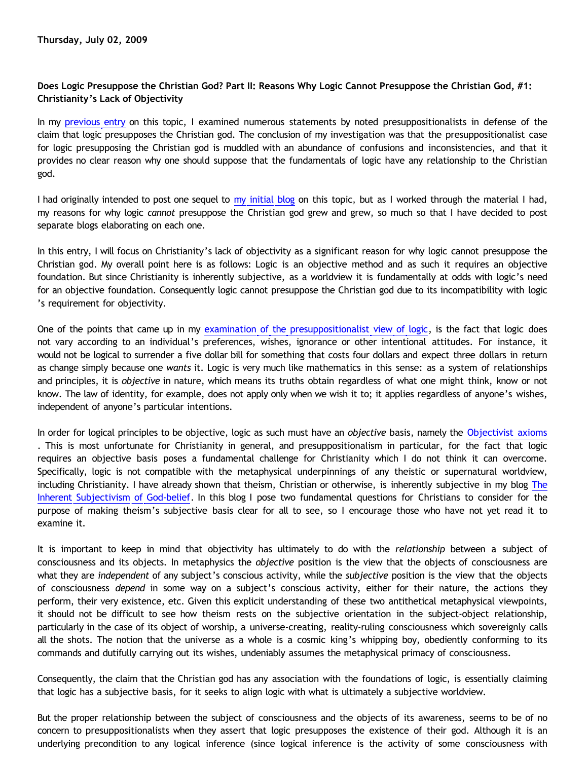## **Does Logic Presuppose the Christian God? Part II: Reasons Why Logic Cannot Presuppose the Christian God, #1: Christianity's Lack of Objectivity**

In my [previous entry](http://bahnsenburner.blogspot.com/2009/06/does-logic-presuppose-christian-god.html) on this topic, I examined numerous statements by noted presuppositionalists in defense of the claim that logic presupposes the Christian god. The conclusion of my investigation was that the presuppositionalist case for logic presupposing the Christian god is muddled with an abundance of confusions and inconsistencies, and that it provides no clear reason why one should suppose that the fundamentals of logic have any relationship to the Christian god.

I had originally intended to post one sequel to [my initial blog](http://bahnsenburner.blogspot.com/2009/06/does-logic-presuppose-christian-god.html) on this topic, but as I worked through the material I had, my reasons for why logic *cannot* presuppose the Christian god grew and grew, so much so that I have decided to post separate blogs elaborating on each one.

In this entry, I will focus on Christianity's lack of objectivity as a significant reason for why logic cannot presuppose the Christian god. My overall point here is as follows: Logic is an objective method and as such it requires an objective foundation. But since Christianity is inherently subjective, as a worldview it is fundamentally at odds with logic's need for an objective foundation. Consequently logic cannot presuppose the Christian god due to its incompatibility with logic 's requirement for objectivity.

One of the points that came up in my [examination of the presuppositionalist view of logic](http://bahnsenburner.blogspot.com/2009/06/does-logic-presuppose-christian-god.html), is the fact that logic does not vary according to an individual's preferences, wishes, ignorance or other intentional attitudes. For instance, it would not be logical to surrender a five dollar bill for something that costs four dollars and expect three dollars in return as change simply because one *wants* it. Logic is very much like mathematics in this sense: as a system of relationships and principles, it is *objective* in nature, which means its truths obtain regardless of what one might think, know or not know. The law of identity, for example, does not apply only when we wish it to; it applies regardless of anyone's wishes, independent of anyone's particular intentions.

In order for logical principles to be objective, logic as such must have an *objective* basis, namely the [Objectivist axioms](http://bahnsenburner.blogspot.com/2006/12/axioms-and-primacy-of-existence.html) . This is most unfortunate for Christianity in general, and presuppositionalism in particular, for the fact that logic requires an objective basis poses a fundamental challenge for Christianity which I do not think it can overcome. Specifically, logic is not compatible with the metaphysical underpinnings of any theistic or supernatural worldview, including Christianity. I have already shown that theism, Christian or otherwise, is inherently subjective in my blog [The](http://bahnsenburner.blogspot.com/2008/12/inherent-subjectivism-of-god-belief.html) [Inherent Subjectivism of God-belief.](http://bahnsenburner.blogspot.com/2008/12/inherent-subjectivism-of-god-belief.html) In this blog I pose two fundamental questions for Christians to consider for the purpose of making theism's subjective basis clear for all to see, so I encourage those who have not yet read it to examine it.

It is important to keep in mind that objectivity has ultimately to do with the *relationship* between a subject of consciousness and its objects. In metaphysics the *objective* position is the view that the objects of consciousness are what they are *independent* of any subject's conscious activity, while the *subjective* position is the view that the objects of consciousness *depend* in some way on a subject's conscious activity, either for their nature, the actions they perform, their very existence, etc. Given this explicit understanding of these two antithetical metaphysical viewpoints, it should not be difficult to see how theism rests on the subjective orientation in the subject-object relationship, particularly in the case of its object of worship, a universe-creating, reality-ruling consciousness which sovereignly calls all the shots. The notion that the universe as a whole is a cosmic king's whipping boy, obediently conforming to its commands and dutifully carrying out its wishes, undeniably assumes the metaphysical primacy of consciousness.

Consequently, the claim that the Christian god has any association with the foundations of logic, is essentially claiming that logic has a subjective basis, for it seeks to align logic with what is ultimately a subjective worldview.

But the proper relationship between the subject of consciousness and the objects of its awareness, seems to be of no concern to presuppositionalists when they assert that logic presupposes the existence of their god. Although it is an underlying precondition to any logical inference (since logical inference is the activity of some consciousness with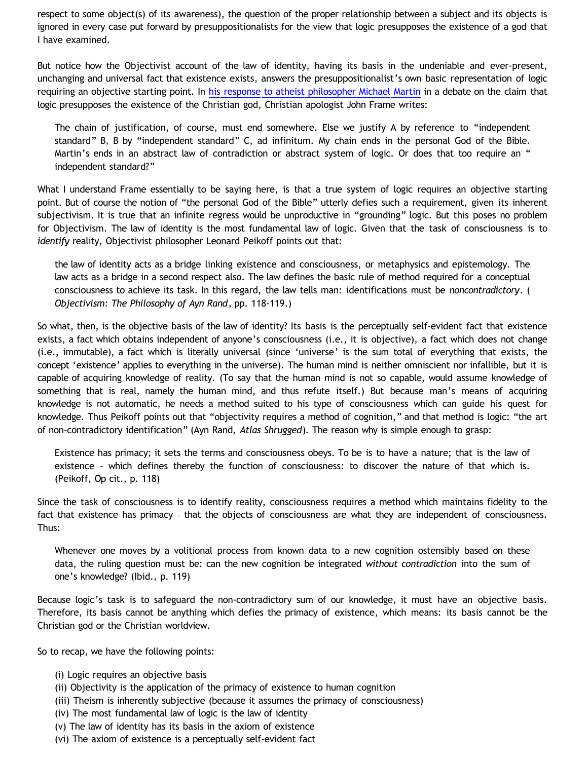respect to some object(s) of its awareness), the question of the proper relationship between a subject and its objects is ignored in every case put forward by presuppositionalists for the view that logic presupposes the existence of a god that I have examined.

But notice how the Objectivist account of the law of identity, having its basis in the undeniable and ever-present, unchanging and universal fact that existence exists, answers the presuppositionalist's own basic representation of logic requiring an objective starting point. In [his response to atheist philosopher Michael Martin](http://www.reformed.org/master/index.html?mainframe=/apologetics/martin/frame_contra_martin2.html) in a debate on the claim that logic presupposes the existence of the Christian god, Christian apologist John Frame writes:

The chain of justification, of course, must end somewhere. Else we justify A by reference to "independent standard" B, B by "independent standard" C, ad infinitum. My chain ends in the personal God of the Bible. Martin's ends in an abstract law of contradiction or abstract system of logic. Or does that too require an " independent standard?"

What I understand Frame essentially to be saying here, is that a true system of logic requires an objective starting point. But of course the notion of "the personal God of the Bible" utterly defies such a requirement, given its inherent subjectivism. It is true that an infinite regress would be unproductive in "grounding" logic. But this poses no problem for Objectivism. The law of identity is the most fundamental law of logic. Given that the task of consciousness is to *identify* reality, Objectivist philosopher Leonard Peikoff points out that:

the law of identity acts as a bridge linking existence and consciousness, or metaphysics and epistemology. The law acts as a bridge in a second respect also. The law defines the basic rule of method required for a conceptual consciousness to achieve its task. In this regard, the law tells man: identifications must be *noncontradictory*. ( *Objectivism: The Philosophy of Ayn Rand*, pp. 118-119.)

So what, then, is the objective basis of the law of identity? Its basis is the perceptually self-evident fact that existence exists, a fact which obtains independent of anyone's consciousness (i.e., it is objective), a fact which does not change (i.e., immutable), a fact which is literally universal (since 'universe' is the sum total of everything that exists, the concept 'existence' applies to everything in the universe). The human mind is neither omniscient nor infallible, but it is capable of acquiring knowledge of reality. (To say that the human mind is not so capable, would assume knowledge of something that is real, namely the human mind, and thus refute itself.) But because man's means of acquiring knowledge is not automatic, he needs a method suited to his type of consciousness which can guide his quest for knowledge. Thus Peikoff points out that "objectivity requires a method of cognition," and that method is logic: "the art of non-contradictory identification" (Ayn Rand, *Atlas Shrugged*). The reason why is simple enough to grasp:

Existence has primacy; it sets the terms and consciousness obeys. To be is to have a nature; that is the law of existence – which defines thereby the function of consciousness: to discover the nature of that which is. (Peikoff, Op cit., p. 118)

Since the task of consciousness is to identify reality, consciousness requires a method which maintains fidelity to the fact that existence has primacy – that the objects of consciousness are what they are independent of consciousness. Thus:

Whenever one moves by a volitional process from known data to a new cognition ostensibly based on these data, the ruling question must be: can the new cognition be integrated *without contradiction* into the sum of one's knowledge? (Ibid., p. 119)

Because logic's task is to safeguard the non-contradictory sum of our knowledge, it must have an objective basis. Therefore, its basis cannot be anything which defies the primacy of existence, which means: its basis cannot be the Christian god or the Christian worldview.

So to recap, we have the following points:

- (i) Logic requires an objective basis
- (ii) Objectivity is the application of the primacy of existence to human cognition
- (iii) Theism is inherently subjective (because it assumes the primacy of consciousness)
- (iv) The most fundamental law of logic is the law of identity
- (v) The law of identity has its basis in the axiom of existence
- (vi) The axiom of existence is a perceptually self-evident fact